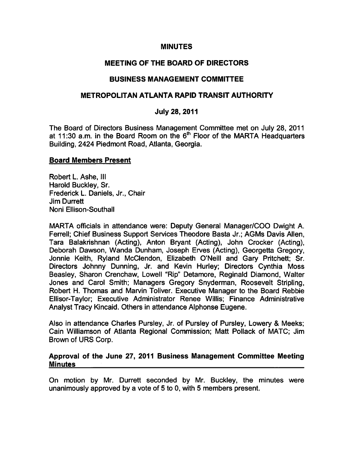#### MINUTES

# MEETING OF THE BOARD OF DIRECTORS

## BUSINESS MANAGEMENT COMMITTEE

## METROPOLITAN ATLANTA RAPID TRANSIT AUTHORITY

## July 28, 2011

The Board of Directors Business Management Committee met on July 28, 2011 at 11:30 a.m. in the Board Room on the  $6<sup>th</sup>$  Floor of the MARTA Headquarters Building, 2424 Piedmont Road, Atlanta, Georgia.

#### Board Members Present

Robert L. Ashe, III Harold Buckley, Sr. Frederick L. Daniels, Jr., Chair Jim Durrett Noni Ellison-Southall

MARTA officials in attendance were: Deputy General Manager/COO Dwight A. Ferrell; Chief Business Support Services Theodore Basta Jr.; AGMs Davis Allen, Tara Balakrishnan (Acting), Anton Bryant (Acting), John Crocker (Acting), Deborah Dawson, Wanda Dunham, Joseph Erves (Acting), Georgetta Gregory, Jonnie Keith, Ryland McClendon, Elizabeth O'Neill and Gary Pritchett; Sr. Directors Johnny Dunning, Jr. and Kevin Hurley; Directors Cynthia Moss Beasley, Sharon Crenchaw, Lowell "Rip" Detamore, Reginald Diamond, Walter Jones and Carol Smith; Managers Gregory Snyderman, Roosevelt Stripling, Robert H. Thomas and Marvin Toliver. Executive Manager to the Board Rebbie Ellisor-Taylor; Executive Administrator Renee Willis; Finance Administrative Analyst Tracy Kincaid. Others in attendance Alphonse Eugene.

Also in attendance Charles Pursley, Jr. of Pursley of Pursley, Lowery & Meeks; Cain Williamson of Atlanta Regional Commission; Matt Pollack of MATC; Jim Brown of URS Corp.

## Approval of the June 27, 2011 Business Management Committee Meeting Minutes

On motion by Mr. Durrett seconded by Mr. Buckley, the minutes were unanimously approved by a vote of  $5$  to 0, with  $5$  members present.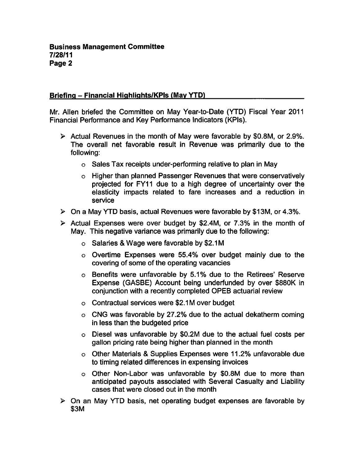# Briefing – Financial Highlights/KPIs (May YTD)

Mr. Allen briefed the Committee on May Year-to-Date (YTD) Fiscal Year 2011 Financial Performance and Key Performance Indicators (KPIs).

- $\triangleright$  Actual Revenues in the month of May were favorable by \$0.8M, or 2.9%. The overall net favorable result in Revenue was primarily due to the following:
	- o Sales Tax receipts under-performing relative to plan in May
	- Higher than planned Passenger Revenues that were conservatively projected for FY11 due to a high degree of uncertainty over the elasticity impacts related to fare increases and a reduction in service
- $\triangleright$  On a May YTD basis, actual Revenues were favorable by \$13M, or 4.3%.
- $\triangleright$  Actual Expenses were over budget by \$2.4M, or 7.3% in the month of May. This negative variance was primarily due to the following:
	- o Salaries & Wage were favorable by \$2.1M
	- Overtime Expenses were 55.4% over budget mainly due to the covering of some of the operating vacancies
	- Benefits were unfavorable by 5.1% due to the Retirees' Reserve Expense (GASBE) Account being underfunded by over \$880K in conjunction with a recently completed OPEB actuarial review
	- $\circ$  Contractual services were \$2.1M over budget
	- CNG was favorable by 27.2% due to the actual dekatherm coming in less than the budgeted price
	- Diesel was unfavorable by \$0.2M due to the actual fuel costs per gallon pricing rate being higher than planned in the month
	- o Other Materials & Supplies Expenses were 11.2% unfavorable due to timing related differences in expensing invoices
	- $\circ$  Other Non-Labor was unfavorable by \$0.8M due to more than anticipated payouts associated with Several Casualty and Liability cases that were closed out in the month
- $\triangleright$  On an May YTD basis, net operating budget expenses are favorable by \$3M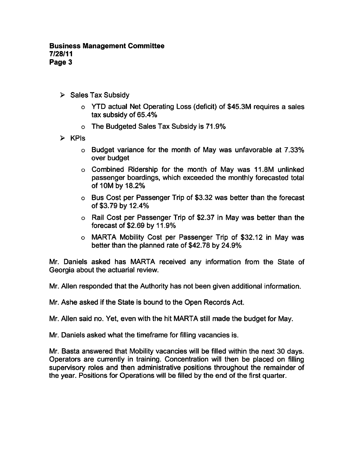- $\triangleright$  Sales Tax Subsidy
	- $\circ$  YTD actual Net Operating Loss (deficit) of \$45.3M requires a sales tax subsidy of 65.4%
	- The Budgeted Sales Tax Subsidy is 71.9%
- $\triangleright$  KPIs
	- Budget variance for the month of May was unfavorable at 7.33% over budget
	- Combined Ridership for the month of May was 11.8M unlinked passenger boardings, which exceeded the monthly forecasted total of 10M by 18.2%
	- Bus Cost per Passenger Trip of \$3.32 was better than the forecast of\$3.79by12.4%
	- Rail Cost per Passenger Trip of \$2.37 in May was better than the forecast of \$2.69 by 11.9%
	- MARTA Mobility Cost per Passenger Trip of \$32.12 in May was better than the planned rate of \$42.78 by 24.9%

Mr. Daniels asked has MARTA received any information from the State of Georgia about the actuarial review.

Mr. Allen responded that the Authority has not been given additional information.

Mr. Ashe asked if the State is bound to the Open Records Act.

Mr. Allen said no. Yet, even with the hit MARTA still made the budget for May.

Mr. Daniels asked what the timeframe for filling vacancies is.

Mr. Basta answered that Mobility vacancies will be filled within the next 30 days. Operators are currently in training. Concentration will then be placed on filling supervisory roles and then administrative positions throughout the remainder of the year. Positions for Operations will be filled by the end of the first quarter.